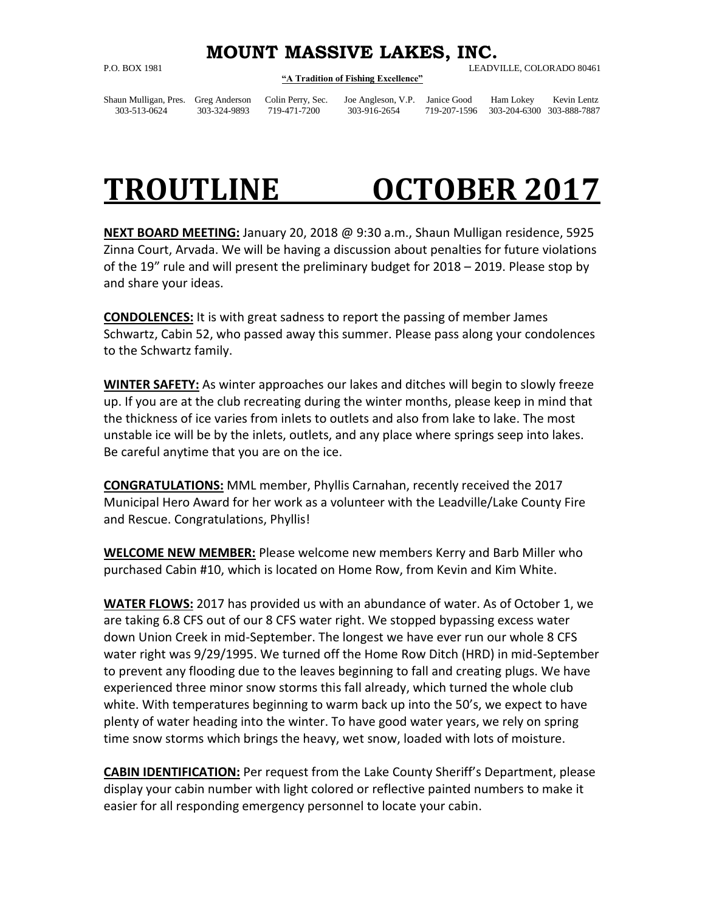## **MOUNT MASSIVE LAKES, INC.**

## **"A Tradition of Fishing Excellence"**

P.O. BOX 1981 LEADVILLE, COLORADO 80461

Shaun Mulligan, Pres. Greg Anderson Colin Perry, Sec. Joe Angleson, V.P. Janice Good Ham Lokey Kevin Lentz 303-513-0624 303-324-9893 719-471-7200 303-916-2654 719-207-1596 303-204-6300 303-888-7887

## **TROUTLINE OCTOBER 2017**

**NEXT BOARD MEETING:** January 20, 2018 @ 9:30 a.m., Shaun Mulligan residence, 5925 Zinna Court, Arvada. We will be having a discussion about penalties for future violations of the 19" rule and will present the preliminary budget for 2018 – 2019. Please stop by and share your ideas.

**CONDOLENCES:** It is with great sadness to report the passing of member James Schwartz, Cabin 52, who passed away this summer. Please pass along your condolences to the Schwartz family.

**WINTER SAFETY:** As winter approaches our lakes and ditches will begin to slowly freeze up. If you are at the club recreating during the winter months, please keep in mind that the thickness of ice varies from inlets to outlets and also from lake to lake. The most unstable ice will be by the inlets, outlets, and any place where springs seep into lakes. Be careful anytime that you are on the ice.

**CONGRATULATIONS:** MML member, Phyllis Carnahan, recently received the 2017 Municipal Hero Award for her work as a volunteer with the Leadville/Lake County Fire and Rescue. Congratulations, Phyllis!

**WELCOME NEW MEMBER:** Please welcome new members Kerry and Barb Miller who purchased Cabin #10, which is located on Home Row, from Kevin and Kim White.

**WATER FLOWS:** 2017 has provided us with an abundance of water. As of October 1, we are taking 6.8 CFS out of our 8 CFS water right. We stopped bypassing excess water down Union Creek in mid-September. The longest we have ever run our whole 8 CFS water right was 9/29/1995. We turned off the Home Row Ditch (HRD) in mid-September to prevent any flooding due to the leaves beginning to fall and creating plugs. We have experienced three minor snow storms this fall already, which turned the whole club white. With temperatures beginning to warm back up into the 50's, we expect to have plenty of water heading into the winter. To have good water years, we rely on spring time snow storms which brings the heavy, wet snow, loaded with lots of moisture.

**CABIN IDENTIFICATION:** Per request from the Lake County Sheriff's Department, please display your cabin number with light colored or reflective painted numbers to make it easier for all responding emergency personnel to locate your cabin.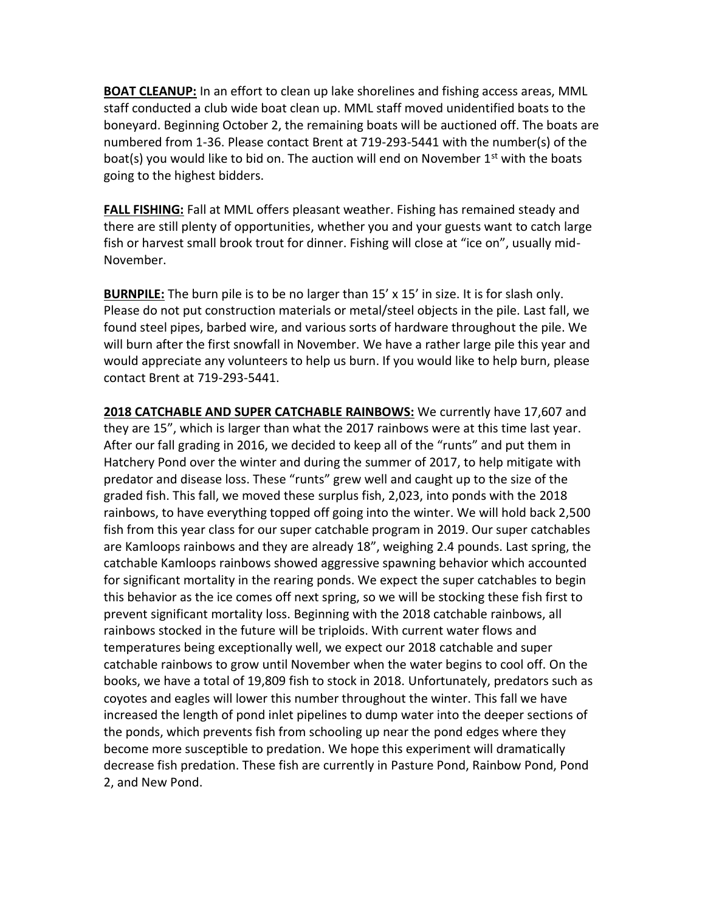**BOAT CLEANUP:** In an effort to clean up lake shorelines and fishing access areas, MML staff conducted a club wide boat clean up. MML staff moved unidentified boats to the boneyard. Beginning October 2, the remaining boats will be auctioned off. The boats are numbered from 1-36. Please contact Brent at 719-293-5441 with the number(s) of the boat(s) you would like to bid on. The auction will end on November  $1<sup>st</sup>$  with the boats going to the highest bidders.

**FALL FISHING:** Fall at MML offers pleasant weather. Fishing has remained steady and there are still plenty of opportunities, whether you and your guests want to catch large fish or harvest small brook trout for dinner. Fishing will close at "ice on", usually mid-November.

**BURNPILE:** The burn pile is to be no larger than 15' x 15' in size. It is for slash only. Please do not put construction materials or metal/steel objects in the pile. Last fall, we found steel pipes, barbed wire, and various sorts of hardware throughout the pile. We will burn after the first snowfall in November. We have a rather large pile this year and would appreciate any volunteers to help us burn. If you would like to help burn, please contact Brent at 719-293-5441.

**2018 CATCHABLE AND SUPER CATCHABLE RAINBOWS:** We currently have 17,607 and they are 15", which is larger than what the 2017 rainbows were at this time last year. After our fall grading in 2016, we decided to keep all of the "runts" and put them in Hatchery Pond over the winter and during the summer of 2017, to help mitigate with predator and disease loss. These "runts" grew well and caught up to the size of the graded fish. This fall, we moved these surplus fish, 2,023, into ponds with the 2018 rainbows, to have everything topped off going into the winter. We will hold back 2,500 fish from this year class for our super catchable program in 2019. Our super catchables are Kamloops rainbows and they are already 18", weighing 2.4 pounds. Last spring, the catchable Kamloops rainbows showed aggressive spawning behavior which accounted for significant mortality in the rearing ponds. We expect the super catchables to begin this behavior as the ice comes off next spring, so we will be stocking these fish first to prevent significant mortality loss. Beginning with the 2018 catchable rainbows, all rainbows stocked in the future will be triploids. With current water flows and temperatures being exceptionally well, we expect our 2018 catchable and super catchable rainbows to grow until November when the water begins to cool off. On the books, we have a total of 19,809 fish to stock in 2018. Unfortunately, predators such as coyotes and eagles will lower this number throughout the winter. This fall we have increased the length of pond inlet pipelines to dump water into the deeper sections of the ponds, which prevents fish from schooling up near the pond edges where they become more susceptible to predation. We hope this experiment will dramatically decrease fish predation. These fish are currently in Pasture Pond, Rainbow Pond, Pond 2, and New Pond.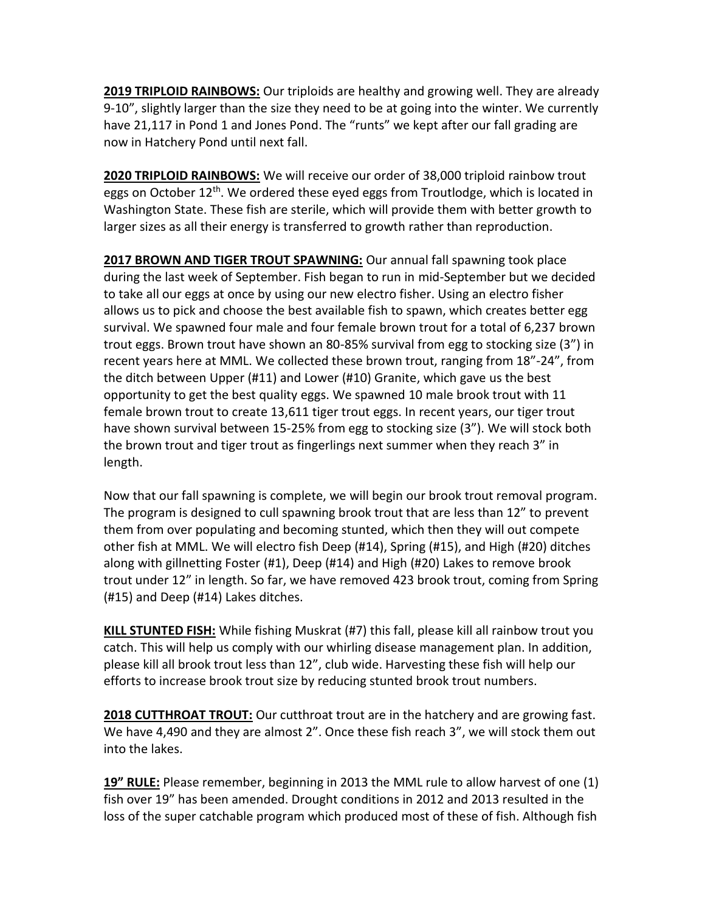**2019 TRIPLOID RAINBOWS:** Our triploids are healthy and growing well. They are already 9-10", slightly larger than the size they need to be at going into the winter. We currently have 21,117 in Pond 1 and Jones Pond. The "runts" we kept after our fall grading are now in Hatchery Pond until next fall.

**2020 TRIPLOID RAINBOWS:** We will receive our order of 38,000 triploid rainbow trout eggs on October 12<sup>th</sup>. We ordered these eyed eggs from Troutlodge, which is located in Washington State. These fish are sterile, which will provide them with better growth to larger sizes as all their energy is transferred to growth rather than reproduction.

**2017 BROWN AND TIGER TROUT SPAWNING:** Our annual fall spawning took place during the last week of September. Fish began to run in mid-September but we decided to take all our eggs at once by using our new electro fisher. Using an electro fisher allows us to pick and choose the best available fish to spawn, which creates better egg survival. We spawned four male and four female brown trout for a total of 6,237 brown trout eggs. Brown trout have shown an 80-85% survival from egg to stocking size (3") in recent years here at MML. We collected these brown trout, ranging from 18"-24", from the ditch between Upper (#11) and Lower (#10) Granite, which gave us the best opportunity to get the best quality eggs. We spawned 10 male brook trout with 11 female brown trout to create 13,611 tiger trout eggs. In recent years, our tiger trout have shown survival between 15-25% from egg to stocking size (3"). We will stock both the brown trout and tiger trout as fingerlings next summer when they reach 3" in length.

Now that our fall spawning is complete, we will begin our brook trout removal program. The program is designed to cull spawning brook trout that are less than 12" to prevent them from over populating and becoming stunted, which then they will out compete other fish at MML. We will electro fish Deep (#14), Spring (#15), and High (#20) ditches along with gillnetting Foster (#1), Deep (#14) and High (#20) Lakes to remove brook trout under 12" in length. So far, we have removed 423 brook trout, coming from Spring (#15) and Deep (#14) Lakes ditches.

**KILL STUNTED FISH:** While fishing Muskrat (#7) this fall, please kill all rainbow trout you catch. This will help us comply with our whirling disease management plan. In addition, please kill all brook trout less than 12", club wide. Harvesting these fish will help our efforts to increase brook trout size by reducing stunted brook trout numbers.

**2018 CUTTHROAT TROUT:** Our cutthroat trout are in the hatchery and are growing fast. We have 4,490 and they are almost 2". Once these fish reach 3", we will stock them out into the lakes.

**19" RULE:** Please remember, beginning in 2013 the MML rule to allow harvest of one (1) fish over 19" has been amended. Drought conditions in 2012 and 2013 resulted in the loss of the super catchable program which produced most of these of fish. Although fish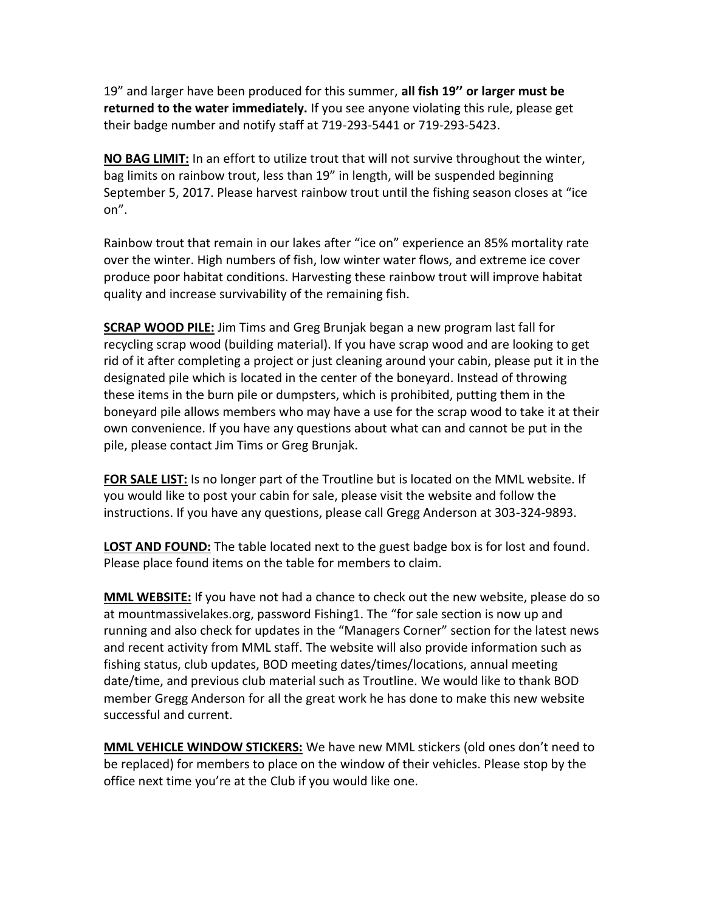19" and larger have been produced for this summer, **all fish 19'' or larger must be returned to the water immediately.** If you see anyone violating this rule, please get their badge number and notify staff at 719-293-5441 or 719-293-5423.

**NO BAG LIMIT:** In an effort to utilize trout that will not survive throughout the winter, bag limits on rainbow trout, less than 19" in length, will be suspended beginning September 5, 2017. Please harvest rainbow trout until the fishing season closes at "ice on".

Rainbow trout that remain in our lakes after "ice on" experience an 85% mortality rate over the winter. High numbers of fish, low winter water flows, and extreme ice cover produce poor habitat conditions. Harvesting these rainbow trout will improve habitat quality and increase survivability of the remaining fish.

**SCRAP WOOD PILE:** Jim Tims and Greg Brunjak began a new program last fall for recycling scrap wood (building material). If you have scrap wood and are looking to get rid of it after completing a project or just cleaning around your cabin, please put it in the designated pile which is located in the center of the boneyard. Instead of throwing these items in the burn pile or dumpsters, which is prohibited, putting them in the boneyard pile allows members who may have a use for the scrap wood to take it at their own convenience. If you have any questions about what can and cannot be put in the pile, please contact Jim Tims or Greg Brunjak.

**FOR SALE LIST:** Is no longer part of the Troutline but is located on the MML website. If you would like to post your cabin for sale, please visit the website and follow the instructions. If you have any questions, please call Gregg Anderson at 303-324-9893.

**LOST AND FOUND:** The table located next to the guest badge box is for lost and found. Please place found items on the table for members to claim.

**MML WEBSITE:** If you have not had a chance to check out the new website, please do so at mountmassivelakes.org, password Fishing1. The "for sale section is now up and running and also check for updates in the "Managers Corner" section for the latest news and recent activity from MML staff. The website will also provide information such as fishing status, club updates, BOD meeting dates/times/locations, annual meeting date/time, and previous club material such as Troutline. We would like to thank BOD member Gregg Anderson for all the great work he has done to make this new website successful and current.

**MML VEHICLE WINDOW STICKERS:** We have new MML stickers (old ones don't need to be replaced) for members to place on the window of their vehicles. Please stop by the office next time you're at the Club if you would like one.